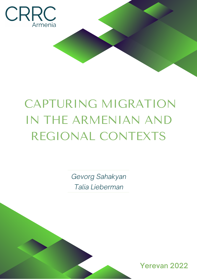

# CAPTURING MIGRATION IN THE ARMENIAN AND REGIONAL CONTEXTS

*Gevorg Sahakyan Talia Lieberman*

Yerevan 2022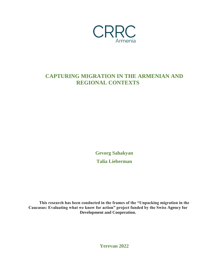

### **CAPTURING MIGRATION IN THE ARMENIAN AND REGIONAL CONTEXTS**

**Gevorg Sahakyan Talia Lieberman**

**This research has been conducted in the frames of the "Unpacking migration in the Caucasus: Evaluating what we know for action" project funded by the Swiss Agency for Development and Cooperation.**

**Yerevan 2022**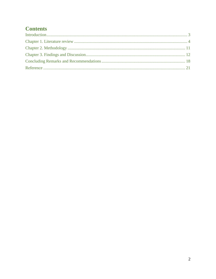### **Contents**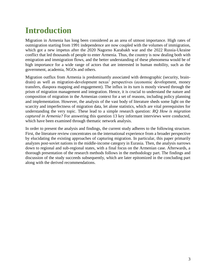# **Introduction**

Migration in Armenia has long been considered as an area of utmost importance. High rates of outmigration starting from 1991 independence are now coupled with the volumes of immigration, which got a new impetus after the 2020 Nagorno Karabakh war and the 2022 Russia-Ukraine conflict that led thousands of people to enter Armenia. Thus, the country is now dealing both with emigration and immigration flows, and the better understanding of these phenomena would be of high importance for a wide range of actors that are interested in human mobility, such as the government, academia, NGOs and others.

Migration outflux from Armenia is predominantly associated with demographic (security, braindrain) as well as migration-development nexus' perspectives (economic development, money transfers, diaspora mapping and engagement). The influx in its turn is mostly viewed through the prism of migration management and integration. Hence, it is crucial to understand the nature and composition of migration in the Armenian context for a set of reasons, including policy planning and implementation. However, the analysis of the vast body of literature sheds some light on the scarcity and imperfectness of migration data, let alone statistics, which are vital prerequisites for understanding the very topic. These lead to a simple research question: *RQ How is migration captured in Armenia?* For answering this question 13 key informant interviews were conducted, which have been examined through thematic network analysis.

In order to present the analysis and findings, the current study adheres to the following structure. First, the literature review concentrates on the international experience from a broader perspective by elucidating the existing approaches of capturing migration. In particular, this paper primarily analyzes post-soviet nations in the middle-income category in Eurasia. Then, the analysis narrows down to regional and sub-regional states, with a final focus on the Armenian case. Afterwards, a thorough presentation of the research methods follows in the methodology part. The findings and discussion of the study succeeds subsequently, which are later epitomized in the concluding part along with the derived recommendations.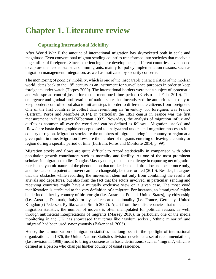### **Chapter 1. Literature review**

#### **Capturing International Mobility**

After World War II the amount of international migration has skyrocketed both in scale and magnitude. Even conventional migrant sending countries transformed into societies that receive a huge influx of foreigners. Since experiencing these developments, different countries have needed to capture the needed statistics on immigrants, mainly for policy implementation reasons, such as migration management, integration, as well as motivated by security concerns.

The monitoring of peoples' mobility, which is one of the inseparable characteristics of the modern world, dates back to the  $19<sup>th</sup>$  century as an instrument for surveillance purposes in order to keep foreigners under watch (Torpey 2000). The international borders were not a subject of systematic and widespread control just prior to the mentioned time period (Kivisto and Faist 2010). The emergence and gradual proliferation of nation-states has incentivized the authorities not only to keep borders controlled but also to initiate steps in order to differentiate citizens from foreigners. One of the first countries to collect data resembling an 'inventory' for foreigners was France (Bartram, Poros and Monforte 2014). In particular, the 1851 census in France was the first measurement in this regard (Silberman 1992). Nowadays, the analysis of migration influx and outflux is common all over the world and can be defined as follows: 'Migration 'stocks' and 'flows' are basic demographic concepts used to analyze and understand migration processes in a country or region. Migration stocks are the numbers of migrants living in a country or region at a given point in time. Migration flows are the number of migrants entering or leaving a country or region during a specific period of time (Bartram, Poros and Monforte 2014, p. 99).

Migration stocks and flows are quite difficult to record statistically in comparison with other population growth contributors such as mortality and fertility. As one of the most prominent scholars in migration studies Douglas Massey notes, the main challenge in capturing net migration rate is the dynamic nature of the phenomenon that unlike death and birth does not occur once only, and the status of a potential mover can interchangeably be transformed (2010). Besides, he argues that the obstacles while recording the movement stem not only from combining the results of arrivals and departures, but also from the fact that the actors involved, in particular, sending and receiving countries might have a mutually exclusive view on a given case. The most vivid manifestation is attributed to the very definition of a migrant. For instance, an 'immigrant' might be defined either by country of birth/origin (i.e. Australia, Poland, United States), by citizenship (i.e. Austria, Denmark, Italy), or by self-reported nationality (i.e. France, Germany, United Kingdom) (Pedersen, Pytlikova and Smith 2007). Apart from these discrepancies that unbalance migration statistics, the number of movers is often manipulated for political reasons as well, through antithetical interpretations of migrants (Massey 2010). In particular, one of the media monitoring in the UK has showcased that terms like 'asylum seeker', 'ethnic minority' and 'migrant' had been used synonymously (Baker et al. 2008).

Hence, the harmonization of migration statistics has long been in the spotlight of international organizations. In 1976, the United Nations Statistics division developed a set of recommendations, (last revision in 1998) meant to bring a consensus in basic definitions, such as 'migrant', which is defined as a person who changes his/her country of usual residence.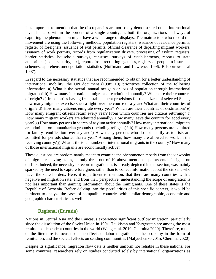It is important to mention that the discrepancies are not solely demonstrated on an international level, but also within the borders of a single country, as both the organizations and ways of capturing the phenomenon might have a wide range of displays. The main actors who record the movement are using the following methods; population registers, issuance of residence permits, register of foreigners, issuance of exit permits, official clearance of departing migrant workers, issuance of work permits, records from regularization drivers, processing of asylum requests, border statistics, household surveys, censuses, surveys of establishments, reports to state authorities (social security, tax), reports from recruiting agencies, registry of people in insurance schemes, apprehension/deportation statistics (Hoffmann and Lawrence 1996; Bilsborrow et al 1997).

In regard to the necessary statistics that are recommended to obtain for a better understanding of international mobility, the UN document (1998: 10) prioritizes collection of the following information: a) What is the overall annual net gain or loss of population through international migration? b) How many international migrants are admitted annually? Which are their countries of origin? c) In countries having free establishment provisions for the citizens of selected States, how many migrants exercise such a right over the course of a year? What are their countries of origin? d) How many citizens emigrate every year? Which are their countries of destination? e) How many emigrant citizens return every year? From which countries are citizens returning? f) How many migrant workers are admitted annually? How many leave the country for good every year? g) How many persons in search of asylum arrive annually? How many international migrants are admitted on humanitarian grounds (including refugees)? h) How many persons are admitted for family reunification over a year? i) How many persons who do not qualify as tourists are admitted for periods shorter than a year? Among them, how many are allowed to work in the receiving country? j) What is the total number of international migrants in the country? How many of those international migrants are economically active?

These questions are predominantly meant to examine the phenomenon mostly from the viewpoint of migrant receiving states, as only three out of 10 above mentioned points entail insights on outflux. Indeed, the necessity to record migration, as is already depicted in this section, was mainly sparked by the need to capture foreigners rather than to collect information about the citizens who leave the state borders. Here, it is pertinent to mention, that there are many countries with a negative net migration rate, and from their perspective, understanding the scope of emigration is not less important than gaining information about the immigrants. One of these states is the Republic of Armenia. Before delving into the peculiarities of this specific context, it would be pertinent to analyze the cases of compatible countries with similar demographic, economic and geographic characteristics as well.

#### **Regional (Eurasia)**

Nations in Central Asia and the Caucasus experience significant outflow migration, particularly since the dissolution of the Soviet Union in 1991. Tajikistan and Kyrgyzstan are among the most remittance-dependent countries in the world (Wang et al. 2019, Chernina 2020). Therefore, much of the literature is focused on the effects of labor migration on the economy in the form of remittances and the societal effects on sending communities (Malyuchenko 2015; Chernina 2020).

Despite its significance, migration flow data is neither uniform nor reliable in these nations. For some countries, researchers rely on studies conducted solely by international organizations as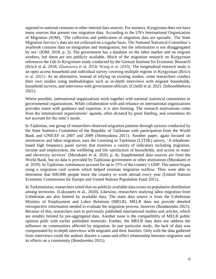opposed to national censuses or other internal data sources. For instance, Kyrgyzstan does not have many sources that present raw migration data. According to the UN's International Organization of Migration (IOM), 'The collection and publication of migration data are sporadic. The State Migration Service's data are not collected on a regular basis. The National Statistical Committee's yearbook contains data on emigration and immigration, but the information is not disaggregated by sex' (IOM, 2018, p. 3). The government has a database on the labor market and on migrant workers, but these are not publicly available. Much of the migration research on Kyrgyzstan references the *Life in Kyrgyzstan* study conducted by the German Institute for Economic Research (Brück et al. 2018; Zhunusova et al. 2018; Wang et al. 2019). The longitudinal research study is an open access household and individual survey covering multiple regions in Kyrgyzstan (Brück et al. 2021). As an alternative, instead of relying on existing studies, some researchers conduct their own studies using methodologies such as in-depth interviews with migrant households, household surveys, and interviews with government officials. (Critelli et al. 2021; Dzhooshbekova 2021).

Where possible, international organizations work together with national statistical committees or governmental organizations. While collaboration with and reliance on international organizations provides states with guidance and expertise, it is also limiting. The research motivations come from the international organizations' agenda, often dictated by grant funding, and sometimes do not account for the state's needs.

In Tajikistan, one group of researchers observed migration patterns through surveys conducted by the State Statistics Committee of the Republic of Tajikistan with participation from the World Bank and UNICEF in 2007 and 2009 (Shemyakina 2011). Another paper, again focused on remittances and labor migration, uses the Listening to Tajikistan (L2TJK) survey, 'A telephonebased high frequency panel survey that monitors a variety of indicators including migration, income and employment, the wellbeing and life satisfaction of households, and access to water and electricity services' (Murakami et al. 2020, p. 4). Supplemental data sources are from the World Bank, but no data is provided by Tajikistan government or other institutions (Murakami et al. 2020). In Tajikistan, remittances account for up to 35% of the country's GDP. The nation began using a migration card system which helped estimate migration outflow. They were able to determine that 600,000 people leave the country to work abroad every year (United Nations Economic Commission for Europe and United Nations Population Fund 2011).

In Turkmenistan, researchers noted that no publicly available data exists on population distribution among territories. (Lukyanets et al., 2020). Likewise, researchers studying labor migration from Uzbekistan are also limited by available data. The main data source is from the Uzbekistan Ministry of Employment and Labor Relations (MELR). MELR does not provide detailed retrospective information needed to evaluate the migration process, however (Bondarenko 2021). Because of this, researchers turn to previously published international studies and articles, which are notably limited by pre-aggregated data. Another issue is the compatibility of MELR public opinion polls with earlier published materials. Further, the MELR data does not address the influence on communities affected by migration. In one particular study, the lack of data was compensated by in-depth interviews with migrants and their families. Only with the data gathered from interviews could the authors discern a cause-and-effect relationship between migration and its effects on a community (Bondarenko 2021).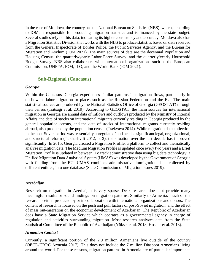In the case of Moldova, the country has the National Bureau on Statistics (NBS), which, according to IOM, is responsible for producing migration statistics and is financed by the state budget. Several studies rely on this data, indicating its higher consistency and accuracy. Moldova also has a Migration Statistics Division that works with the NBS to produce statistics based on data received from the General Inspectorate of Border Police, the Public Services Agency, and the Bureau for Migration and Asylum (IOM 2021). The main sources of data are the decennial Population and Housing Census, the quarterly/yearly Labor Force Survey, and the quarterly/yearly Household Budget Survey. NBS also collaborates with international organizations such as the European Commission, UNFPA, IOM, ILO, and the World Bank (IOM 2021).

#### **Sub-Regional (Caucasus)**

#### *Georgia*

Within the Caucasus, Georgia experiences similar patterns in migration flows, particularly in outflow of labor migration to places such as the Russian Federation and the EU. The main statistical sources are produced by the National Statistics Office of Georgia (GEOSTAT) through their census (Tsitsagi et al. 2019). According to GEOSTAT, the main sources for international migration in Georgia are annual data of inflows and outflows produced by the Ministry of Internal Affairs, the data of stocks on international migrants currently residing in Georgia produced by the general population census, and the data of stocks of international migrants currently residing abroad, also produced by the population census (Tsekvava 2014). While migration data collection in the post-Soviet period was 'essentially unregulated' and needed significant legal, organizational, and structural reform (Tukhashvili 2012, p. 2), the situation over the last decade has improved significantly. In 2015, Georgia created a Migration Profile, a platform to collect and thematically analyze migration data. The Medium Migration Profile is updated once every two years and a Brief Migration Profile is updated in between. To track administrative data using big data technology, a Unified Migration Data Analytical System (UMAS) was developed by the Government of Georgia with funding from the EU. UMAS combines administrative immigration data, collected by different entities, into one database (State Commission on Migration Issues 2019).

#### *Azerbaijan*

Research on migration in Azerbaijan is very sparse. Desk research does not provide many meaningful results or sound findings on migration patterns. Similarly to Armenia, much of the research is either produced by or in collaboration with international organizations and donors. The content of research is focused on the push and pull factors of post-Soviet migration, and the effect of mass out-migration on the economic development of Azerbaijan. The Republic of Azerbaijan does have a State Migration Service which operates as a governmental agency in charge of regulation and activities surrounding migration. Most research analyzes data from the State Statistical Committee of the Republic of Azerbaijan (Yüksel et al. 2018, Hosner et al. 2018).

#### *Armenian Context*

Currently, a significant portion of the 2.9 million Armenians live outside of the country (OECD/CRRC Armenia 2017). This does not include the 7 million Diaspora Armenians living around the world. For these reasons, migration patterns in Armenia are of particular importance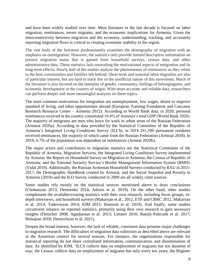and have been widely studied over time. Most literature in the last decade is focused on labor migration, remittances, return migrants, and the economic implications for Armenia. Given the interconnectivity between migration and the economy, understanding, tracking, and accurately reporting migration flows is critical to creating economic stability in the region.

The vast body of the literature predominantly examines the demography of migration with an emphasis on outmigration. However, the statistics only provide limited descriptive information on present migration status that is gained from household surveys, census data, and other administrative data. These statistics lack unraveling the motivational aspects of emigration and its long-term effects. Nearly half of the studies analyze the phenomenon of remittances as they relate to the host communities and families left behind. Short-term and seasonal labor migration are also of particular interest, but are hard to track due to the unofficial nature of this movement. Much of the literature is also focused on the interplay of gender, community, feelings of belongingness, and economic development in the country of origin. With more accurate and reliable data, researchers can perform deeper and more meaningful analyses on these topics.

The most common motivations for emigration are unemployment, low wages, desire to improve standard of living, and labor opportunities abroad (European Training Foundation and Caucasus Research Resource Center – Armenia 2012). According to World Bank data, in 2020, personal remittances received in the country constituted 10.4% of Armenia's total GDP (World Bank 2020). The majority of emigrants are men who leave for work in urban areas of the Russian Federation (Armstat 2020a). According to data provided by the Statistical Committee of the Republic of Armenia's Integrated Living Conditions Survey (ILCS), in 2018 261,500 permanent residents received remittances, the majority of which came from the Russian Federation (Armstat 2018). In 2019, 6.7% of the population was dependent on remittances (Arnstat 2020b).

The major actors and contributors to migration statistics are the Statistical Committee of the Republic of Armenia, Migration Services, the Integrated Living Conditions Survey implemented by Armstat; the Report on Household Survey on Migration in Armenia; the Census of Republic of Armenia; and the National Security Service's Border Management Information System (BMIS) (Vidal 2019). Additionally, the Russian Armenian Household Surveys conducted by RAU in 2015- 2017, the Demographic Handbook created by Armstat, and the Social Snapshot and Poverty in Armenia (2019) and the ILO Survey conducted in 2009 are all widely cited sources.

Some studies rely mostly on the statistical sources mentioned above to draw conclusions (Chobanyan 2013; Denisenko 2014; Adunts et al. 2019). On the other hand, other studies complement the available/existing statistics with their own research, including focus groups, indepth interviews, and household surveys (Makaryan et al., 2012, ETF and CRRC 2012, Makaryan et al. 2014; Tadevosyan 2014; IOM 2015; Honorati et al. 2019). And finally, some studies circumvent reliance on reported statistics, primarily using their own research to gain necessary insights (Fleischer 2008; Agadjanian et al. 2013; Lietaert 2016; Rasuly-Paleczek et al. 2017; Bolsajian 2018; Demirchyan et al. 2021).

Despite the broad interest, however, the lack of reliable, consistent data presents major challenges to migration research. The difficulties of migration data collection as described above are relevant in the Armenian context for several reasons. For instance, the organizations responsible for statistical reporting do not share centralized information, communication, and dissemination of data. As identified by IOM, 'ILCS collects data on employment of migrants but not duration of stay; the Census collects data on employment of migrants but only every ten years; the Register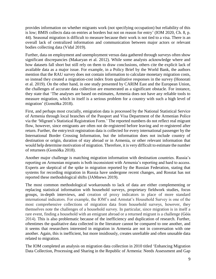provides information on whether migrants work (not specifying occupation) but reliability of this is low; BMIS collects data on entries at borders but not on reason for entry' (IOM 2020, Ch. 8, p. 44). Seasonal migration is difficult to measure because their work is not tied to a visa. There is an overall lack of centralized information and communication between major actors or relevant bodies collecting data (Vidal 2019).

Further, data on employment and unemployment versus data gathered through surveys often show significant discrepancies (Makaryan et al. 2012). While some analysts acknowledge where and how datasets fall short but still rely on them to draw conclusions, others cite the explicit lack of available data as a major issue. For example, in a Policy Brief by the World Bank, the authors mention that the RAU survey does not contain information to calculate monetary migration costs, so instead they created a migration-cost index from qualitative responses in the survey (Honorati et al. 2019). On the other hand, in one study presented by CARIM East and the European Union, the challenges of accurate data collection are enumerated as a significant obstacle. For instance, they state that 'The analyses are based on estimates, Armenia does not have any reliable tools to measure migration, which in itself is a serious problem for a country with such a high level of migration' [\(Gomółka](https://www.researchgate.net/profile/Krystyna-Gomolka-2) 2018).

First, and perhaps most crucially, emigration data is processed by the National Statistical Service of Armenia through local branches of the Passport and Visa Department of the Armenian Police via the 'Migrant's Statistical Registration Form.' The reported numbers do not reflect real migrant flow, however, since emigrants are often not de-registered before leaving and re-registered after return. Further, the entry/exit registration data is collected for every international passenger by the International Border Crossing Information, but the information does not include country of destination or origin, duration of stay abroad or in Armenia, or other relevant information that would help determine motivation of migration. Therefore, it is very difficult to estimate the number of returnees [\(Gomółka](https://www.researchgate.net/profile/Krystyna-Gomolka-2) 2018).

Another major challenge is matching migration information with destination countries. Russia's reporting on Armenian migrants is both inconsistent with Armenia's reporting and hard to access. Experts are skeptical of the spike in migration reported by the Russian Federation, stating that systems for recording migration in Russia have undergone recent changes, and Rosstat has not reported these methodological shifts (JAMnews 2019).

The most common methodological workarounds to lack of data are either complementing or replacing statistical information with household surveys, proprietary fieldwork studies, focus groups, in-depth interviews, and creation of proxy indicators in place of more standard international indicators. For example, the IOM's and Armstat's Household Survey is one of the most comprehensive collections of migration data from household surveys, however, they themselves note the challenges of a household survey. In particular, since migration is in itself a rare event, finding a household with an emigrant abroad or a returned migrant is a challenge (Góis 2014). This is also problematic because of the inefficiency and duplication of research. Further, oftentimes the qualitative data collected in the literature cannot be compared to one another, and it seems that researchers interested in migration in Armenia are not in conversation with one another. Again, this is inefficient, but more insidiously, creates unreliable and often unusable data related to migration.

The IOM completed an analysis on migration data collection in 2010 titled 'Enhancing Migration Data Collection, Processing and Sharing in the Republic of Armenia: Needs Assessment and Gap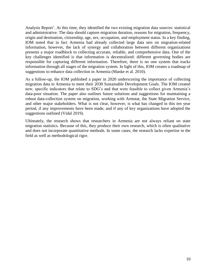Analysis Report'. At this time, they identified the two existing migration data sources: statistical and administrative. The data should capture migration duration, reasons for migration, frequency, origin and destination, citizenship, age, sex, occupation, and employment status. In a key finding, IOM noted that in fact Armenia had already collected large data sets on migration-related information, however, the lack of synergy and collaboration between different organizations presents a major roadblock to collecting accurate, reliable, and comprehensive data. One of the key challenges identified is that information is decentralized: different governing bodies are responsible for capturing different information. Therefore, there is no one system that tracks information through all stages of the migration system. In light of this, IOM creates a roadmap of suggestions to enhance data collection in Armenia (Manke et al. 2010).

As a follow-up, the IOM published a paper in 2020 underscoring the importance of collecting migration data in Armenia to meet their 2030 Sustainable Development Goals. The IOM created new, specific indicators that relate to SDG's and that were feasible to collect given Armenia's data-poor situation. The paper also outlines future solutions and suggestions for maintaining a robust data-collection system on migration, working with Armstat, the State Migration Service, and other major stakeholders. What is not clear, however, is what has changed in this ten year period, if any improvements have been made, and if any of key organizations have adopted the suggestions outlined (Vidal 2019).

Ultimately, the research shows that researchers in Armenia are not always reliant on state migration statistics. Because of this, they produce their own research, which is often qualitative and does not incorporate quantitative methods. In some cases, the research lacks expertise in the field as well as methodological rigor.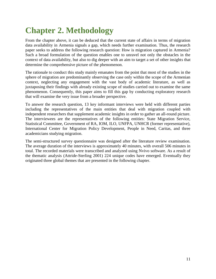# **Chapter 2. Methodology**

From the chapter above, it can be deduced that the current state of affairs in terms of migration data availability in Armenia signals a gap, which needs further examination. Thus, the research paper seeks to address the following research question: How is migration captured in Armenia? Such a broad formulation of the question enables one to unravel not only the obstacles in the context of data availability, but also to dig deeper with an aim to target a set of other insights that determine the comprehensive picture of the phenomenon.

The rationale to conduct this study mainly emanates from the point that most of the studies in the sphere of migration are predominantly observing the case only within the scope of the Armenian context, neglecting any engagement with the vast body of academic literature, as well as juxtaposing their findings with already existing scope of studies carried out to examine the same phenomenon. Consequently, this paper aims to fill this gap by conducting exploratory research that will examine the very issue from a broader perspective.

To answer the research question, 13 key informant interviews were held with different parties including the representatives of the main entities that deal with migration coupled with independent researchers that supplement academic insights in order to gather an all-round picture. The interviewees are the representatives of the following entities: State Migration Service, Statistical Committee, Government of RA, IOM, ILO, UNFPA, UNHCR (former representative), International Center for Migration Policy Development, People in Need, Caritas, and three academicians studying migration.

The semi-structured survey questionnaire was designed after the literature review examination. The average duration of the interviews is approximately 40 minutes, with overall 506 minutes in total. The recorded materials were transcribed and analyzed using Nvivo software. As a result of the thematic analysis (Attride-Sterling 2001) 224 unique codes have emerged. Eventually they originated three global themes that are presented in the following chapter.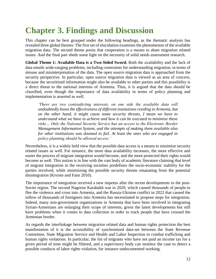### **Chapter 3. Findings and Discussion**

This chapter can be best grouped under the following headings, as the thematic analysis has revealed three global themes: The first set of elucidation examines the phenomenon of the available migration data. The second theme posits that cooperation is a means to abate migration related issues. And the final part sheds some light on the necessity of solid needs assessment research.

**Global Theme 1: Available Data is a Two-Sided Sword.** Both the availability and the lack of data entails wide-ranging problems, including constraints for understanding migration, in terms of misuse and misinterpretation of the data. The open source migration data is approached from the security perspective. In particular, open source migration data is viewed as an area of concern, because the securitized information might also be available to other parties and this possibility is a direct threat to the national interests of Armenia. Thus, it is argued that the data should be classified, even though the importance of data availability in terms of policy planning and implementation is asserted as well.

*'There are two contradicting interests, on one side the available data will undoubtedly boost the effectiveness of different institutions residing in Armenia, but on the other hand, it might cause some security threats, I mean we have to understand what we have to achieve and how it can be executed to minimize these risks… Only the National Security Service has an access to the Electronic Border Management Information System, and the attempts of making them available also for other institutions was doomed to fail. At least the ones who are engaged in policy planning should be allowed access.'*

Nevertheless, it is a widely held view that the possible data access is a means to minimize security related issues as well. For instance, the more data availability increases, the more effective and easier the process of migrant integration would become, and the more protected their rights would become as well. This notion is in line with the vast body of academic literature claiming that level of migrant integration in the receiving societies predefines the socio-economic stability for the parties involved, while minimizing the possible security threats emanating from the potential disintegration (Kivisto and Faist 2010).

The importance of integration received a new impetus after the recent developments in the post-Soviet region. The second Nagorno Karabakh war in 2020, which caused thousands of people to flee the violence and cross into Armenia, and the Russia-Ukraine conflict in 2022 that caused the inflow of thousands of foreigners into Armenia has necessitated to propose steps for integration. Indeed, many non-government organizations in Armenia that have been involved in integrating Syrian-Armenians are enlarging their scope of interests, given the latest developments but still have problems when it comes to data collection in order to track people that have crossed the Armenian border.

As regards the interlinkage between migration related data and human rights protection the best manifestation of it is the accessibility of synchronized data-set between the State Revenue Committee, State Migration Service and Health and Labor Inspection to combat trafficking and human rights violations. In particular, the list of migrants who have not paid an income tax for a given period of time might be filtered, and a supervisory body can monitor the case to detect a possible conducts of labor rights violation, for instance undocumented working.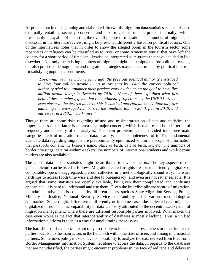As pointed out in the beginning and elaborated afterwards migration data/statistics can be misused externally entailing security concerns and also might be misinterpreted internally, which presumably is capable of distorting the overall picture of migration. The number of migrants, as discussed in the literature review, might be presented differently based on political reasons. One of the interviewees notes that in order to show the alleged boom in the tourism sector some repatriates or refugees can be classified as tourists, or some Armenian tourist that have left the country for a short period of time can likewise be interpreted as migrants that have decided to live elsewhere. Not only the existing numbers of migrants might be manipulated for political reasons, but also proposed demographic and migration strategies may be determined by political interests for satisfying populistic sentiments.

*'Look what we have… Some years ago, the previous political authority envisaged to have four million people living in Armenia by 2040, the current political authority tried to outnumber their predecessors by declaring the goal to have five million people living in Armenia by 2050… None of them explained what lies*  behind these numbers, given that the optimistic projections by the UNFPA are not *even closer to the desired picture. This is comical and ridiculous… I think they are matching the envisaged numbers to the timeline; four in 2040, five in 2050, and maybe six in 2060… who knows?'*

Though there are some risks regarding misuse and misinterpretation of data and statistics, the imperfectness of the latter is an area of a major concern, which is manifested both in terms of frequency and intensity of the analysis. The main problems can be divided into three main categories: lack of migration related data, scarcity, and incompleteness of it. The fundamental available data regarding migrants are predominantly epitomized within the scope of information that passports contain; the bearer's name, place of birth, date of birth, sex etc. The numbers of border crossings, data on asylum-seekers, the numbers of international students and work permit holders are also available.

The gap in data and in statistics might be attributed to several factors. The key aspects of the general picture can be listed as follows: Migration related insights are not user-friendly, digitalized, comparable, open, disaggregated, are not collected in a methodologically sound way, there are hardships to access (both time wise and due to bureaucracy) and even are not rather reliable. It is argued that some statistics are openly available, but given their complicated and confusing appearance, it is hard to understand and use them. Given the interdisciplinary nature of migration, the administrative data is collected by different actors, such as State Migration Service, Police, Ministry of Justice, National Security Service etc., and by using various methodological approaches. Some might define terms differently or in some cases the collected data might be digitalized or not. The incomparability of data is mostly attributed to the decentralized system of migration management, where there are different responsible parties involved. What makes the case even worse is the fact that interoperability of databases is mostly lacking. Thus, a unified information platform is seen as a way for ameliorating these issues.

The hardships of data access are not only ascribable to independent researchers or other interested parties, but also to the main actors in the field both within the state officers and among international partners. Sometimes policy makers have no possibility to analyze the data derived from Electronic Border Management Information System, let alone to access the data. In regards to the databases that are not classified, the parties might encounter problems in the face of red tape and delays in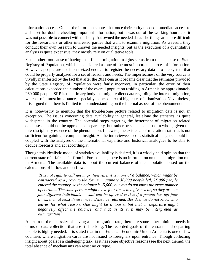information access. One of the informants notes that once their entity needed immediate access to a dataset for double checking important information, but it was out of the working hours and it was not possible to connect with the body that owned the needed data. The things are more difficult for the researchers or other interested parties that want to examine migration. As a result, they conduct their own research to unravel the needed insights, but as the execution of a quantitative analysis is quite expensive, they mostly rely on qualitative tools.

Yet another root cause of having insufficient migration insights stems from the database of State Registry of Population, which is considered as one of the most important sources of information. However, people are not incentivized enough to register the necessary data into the system that could be properly analyzed for a set of reasons and needs. The imperfectness of the very source is vividly manifested by the fact that after the 2011 census it became clear that the estimates provided by the State Registry of Population were fairly incorrect. In particular, the error of their calculations exceeded the number of the overall population residing in Armenia by approximately 260,000 people. SRP is the primary body that might collect data regarding the internal migration, which is of utmost importance, especially in the context of high rates of urbanization. Nevertheless, it is argued that there is limited to no understanding on the internal aspect of the phenomenon.

It is noteworthy to mention that the troublesome picture related to migration data is not an exception. The issues concerning data availability in general, let alone the statistics, is quite widespread in the country. The potential steps targeting the betterment of migration related databases should not be approached separately, but rather be seen as a part of a whole, given the interdisciplinary essence of the phenomenon. Likewise, the existence of migration statistics is not sufficient for gaining a complete insight. As the interviewees posit, statistical insights should be coupled with the analyses of the international expertise and historical analogues to be able to deduce forecasts and act accordingly.

Though this idealistic model of statistics availability is desired, it is a widely held opinion that the current state of affairs is far from it. For instance, there is no information on the net migration rate in Armenia. The available data is about the current balance of the population based on the calculations of inflow and outflow.

*'It is not right to call net migration rate, it is more of a balance, which might be considered as a proxy to the former… suppose 30,000 people left, 25,000 people entered the country, so the balance is -5,000, but you do not know the exact number of entrants. The same person might leave four times in a given year, so they are not four different individuals… what can be inferred is that if a person has left four times, then at least three times he/she has returned. Besides, we do not know who*  leaves for what reason. One might be a tourist but his/her departure might *negatively affect the balance, and that in its turn may be interpreted as outmigration'.*

Apart from the necessity of having a net migration rate, there are some other minimal needs in terms of data collection that are still lacking. The recorded goals of the entrants and departing people is highly needed. It is stated that in the Eurasian Economic Union Armenia is one of few countries where migration cards are not issued to foreigners upon entrance. Though collecting insight about goals is a challenging task, as it has some objective reasons (see the next theme), the total absence of mechanisms can resist no critique.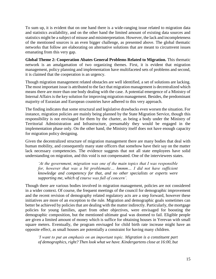To sum up, it is evident that on one hand there is a wide-ranging issue related to migration data and statistics availability, and on the other hand the limited amount of existing data sources and statistics might be a subject of misuse and misinterpretation. However, the lack and incompleteness of the mentioned sources is an even bigger challenge, as presented above. The global thematic networks that follow are elaborating on alternative solutions that are meant to circumvent issues emanating from this very gap.

**Global Theme 2: Cooperation Abates General Problems Related to Migration.** This thematic network is an amalgamation of two organizing themes. First, it is evident that migration management, policy planning and implementation have multifaceted sets of problems and second, it is claimed that the cooperation is an urgency.

Though migration management related obstacles are well identified, a set of solutions are lacking. The most important issue is attributed to the fact that migration management is decentralized which means there are more than one body dealing with the case. A potential emergence of a Ministry of Internal Affairs is the key solution for improving migration management. Besides, the predominant majority of Eurasian and European countries have adhered to this very approach.

The finding indicates that some structural and legislative drawbacks even worsen the situation. For instance, migration policies are mainly being planned by the State Migration Service, though this responsibility is not envisaged for them by the charter, as being a body under the Ministry of Territorial Administration and Infrastructure, presumably they would be engaged in the implementation phase only. On the other hand, the Ministry itself does not have enough capacity for migration policy designing.

Given the decentralized structure of migration management there are many bodies that deal with human mobility, and consequently many state officers that somehow have their say on the matter lack necessary competencies. The evidence suggests that not all state employees have solid understanding on migration, and this void is not compensated. One of the interviewees states.

*'At the government, migration was one of the main topics that I was responsible*  for, however that was a bit problematic... hmmm... I did not have sufficient *knowledge and competency for that, and no other specialists or experts were supporting me, which of course was full of concern'.*

Though there are various bodies involved in migration management, policies are not considered in a wider context. Of course, the frequent meetings of the council for demographic improvement and the recent revision of demography related regulatory acts are a step forward, however these initiatives are more of an exception to the rule. Migration and demographic goals sometimes can better be achieved by policies that are dealing with the matter indirectly. Particularly, the mortgage policies for young families, apart from other objectives, were envisaged for boosting the demographic composition, but the mentioned ultimate goal was doomed to fail. Eligible people are given a limited amount of money which is suffice for obtaining houses in Yerevan with small square meters. Eventually, the program envisaged for child birth rate increase might have an opposite effect, as small houses are potentially a constraint for having many children.

*'I want to put an emphasis on an important topic. Migration is a constituent part of demographics, right? Then look what we have. Kindergartens close at 16:00, but*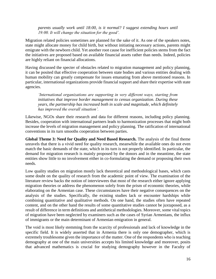*parents usually work until 18:00, is it normal? I suggest extending hours until 19:00. It will change the situation for the good'.*

Migration related policies sometimes are planned for the sake of it. As one of the speakers notes, state might allocate money for child birth, but without initiating necessary actions, parents might emigrate with the newborn child. Yet another root cause for inefficient policies stems from the fact the initiatives are proposed based on available financial assets rather than needs. Indeed, policies are highly reliant on financial allocations.

Having discussed the specter of obstacles related to migration management and policy planning, it can be posited that effective cooperation between state bodies and various entities dealing with human mobility can greatly compensate for issues emanating from above mentioned reasons. In particular, international organizations provide financial support and share their expertise with state agencies.

*'International organizations are supporting in very different ways, starting from initiatives that improve border management to census organization. During these years, the partnership has increased both in scale and magnitude, which definitely has improved the overall situation'.*

Likewise, NGOs share their research and data for different reasons, including policy planning. Besides, cooperation with international partners leads to harmonization processes that might both increase the levels of migration management and policy planning. The ratification of international conventions in its turn smooths cooperation between parties.

**Global Theme 3: Need for Quality and Need Based Research.** The analysis of the final theme unravels that there is a vivid need for quality research, meanwhile the available ones do not even match the basic demands of the state, which in its turn is not properly identified. In particular, the demand for migration research is mainly proposed by the donors and in the meantime, the state entities show little to no involvement either in co-formulating the demand or proposing their own needs.

Low quality studies on migration mostly lack theoretical and methodological bases, which casts some doubt on the quality of research from the academic point of view. The examination of the literature review backs the notion of interviewees that most of the research either ignore applying migration theories or address the phenomenon solely from the prism of economic theories, while elaborating on the Armenian case. These circumstances have their negative consequences on the analysis of the studies. Specifically, the existing studies lack or encounter hardships while combining quantitative and qualitative methods. On one hand, the studies often have repeated content, and on the other hand the results of some quantitative studies cannot be juxtaposed, as a result of difference in term definitions and antithetical methodologies. Moreover, some vital topics of migration have been neglected by examiners such as the cases of Syrian Armenians, the influx of immigrants or the main determinant of Armenian emigration in general.

The void is most likely stemming from the scarcity of professionals and lack of knowledge in the specific field. It is widely asserted that in Armenia there is only one demographer, which is extremely troublesome given the importance of the matter. One of the respondents who is teaching demography at one of the main universities accepts his limited knowledge and moreover, posits that advanced mathematics is crucial for studying demography however in the Faculty of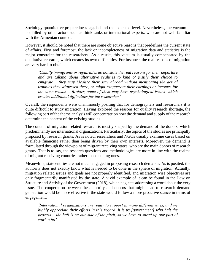Sociology quantitative preparedness lags behind the expected level. Nevertheless, the vacuum is not filled by other actors such as think tanks or international experts, who are not well familiar with the Armenian context.

However, it should be noted that there are some objective reasons that predefines the current state of affairs. First and foremost, the lack or incompleteness of migration data and statistics is the major constraint for the researchers. As a result, this vacuum is usually compensated by the qualitative research, which creates its own difficulties. For instance, the real reasons of migration are very hard to obtain.

*'Usually immigrants or repatriates do not state the real reasons for their departure and are talking about alternative realities to kind of justify their choice to emigrate… they may idealize their stay abroad without mentioning the actual troubles they witnessed there, or might exaggerate their earnings or incomes for the same reason… Besides, some of them may have psychological issues, which creates additional difficulties for the researcher'.*

Overall, the respondents were unanimously positing that for demographers and researchers it is quite difficult to study migration. Having explored the reasons for quality research shortage, the following part of the theme analysis will concentrate on how the demand and supply of the research determine the content of the existing studies.

The content of migration related research is mostly shaped by the demand of the donors, which predominantly are international organizations. Particularly, the topics of the studies are principally proposed by research grants. As is noted, researchers and NGOs usually examine cases based on available financing rather than being driven by their own interests. Moreover, the demand is formulated through the viewpoint of migrant receiving states, who are the main donors of research grants. That is to say, the research questions and methodologies are more in line with the realms of migrant receiving countries rather than sending ones.

Meanwhile, state entities are not much engaged in proposing research demands. As is posited, the authority does not exactly know what is needed to be done in the sphere of migration. Actually, migration related issues and goals are not properly identified, and migration wise objectives are only fragmentarily manifested by the state. A vivid example of it can be found in the Law on Structure and Activity of the Government (2018), which neglects addressing a word about the very issue. The cooperation between the authority and donors that might lead to research demand generation would be more effective if the state would follow a more proactive stance in terms of engagement.

*'International organizations are ready to support in many different ways, and we highly appreciate their efforts in this regard, it is us [government] who halt the process… the ball is on our side of the pitch, so we have to speed up our part of work a bit'.*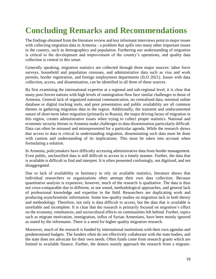# **Concluding Remarks and Recommendations**

The findings obtained from the literature review and key informant interviews point to major issues with collecting migration data in Armenia - a problem that spills into many other important issues in the country, such as demographics and population. Furthering our understanding of migration is critical to the development and improvement of the country's operations, and quality data collection is central in this sense.

Generally speaking, migration statistics are collected through three major sources: labor force surveys, household and population censuses, and administrative data such as visa and work permits, border registration, and foreign employment departments (ILO 2021). Issues with data collection, access, and dissemination, can be identified in all three of these sources.

By first examining the international expertise at a regional and sub-regional level, it is clear that many post-Soviet nations with high levels of outmigration flow face similar challenges to those of Armenia. General lack of organized national communication, no centralized data, minimal online database or digital tracking tools, and poor presentation and public availability are all common themes in gathering migration data in the region. Additionally, the transient and undocumented nature of short-term labor migration (primarily to Russia), the major driving factor of migration in this region, creates administrative issues when trying to collect proper statistics. National and economic security threats in Armenia make challenges to data dissemination particularly difficult. Data can often be misused and misrepresented for a particular agenda. While the research shows that access to data is critical in understanding migration, disseminating such data must be done with caution and understanding of its implications. This must be taken into account when formulating a solution.

In Armenia, policymakers have difficulty accessing administrative data from border management. Even public, unclassified data is still difficult to access in a timely manner. Further, the data that is available is difficult to find and interpret. It is often presented confusingly, not digitized, and not disaggregated.

Due to lack of availability or hesitancy to rely on available statistics, literature shows that individual researchers or organizations often attempt their own data collection. Because quantitative analysis is expensive, however, much of the research is qualitative. The data is thus not cross-comparable due to different, or not sound, methodological approaches, and general lack of professional knowledge and expertise in the field. Researchers are duplicating work and producing asynchronistic information. Some low-quality studies on migration lack in both theory and methodology. Therefore, not only is data difficult to access, but the data that *is* available is unreliable and incomplete. It is clear that the research is primarily focused on migration's effect on the economy, remittances, and sociocultural effects on communities left behind. Further, topics such as migrant motivation, immigration, influx of Syrian Armenians, have been mostly ignored as stated by the informants. There is a need for higher quality migration research.

Moreover, much of the research is funded by international institutions with their own agendas and predetermined budgets. The funders often do not effectively collaborate with the state bodies, and the state does not advocate for their own needs. Often funds come from research grants which are limited to available finance. Further, the donors mainly approach the research from a migrant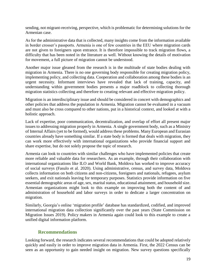sending, not migrant-receiving, perspective, which is problematic for determining solutions for the Armenian case.

As for the administrative data that is collected, many insights come from the information available in border crosser's passports. Armenia is one of few countries in the EEU where migration cards are not given to foreigners upon entrance. It is therefore impossible to track migration flows, a difficulty that has been noted in the literature as well. Without knowing the details of motivation for movement, a full picture of migration cannot be understood.

Another major issue gleaned from the research is in the multitude of state bodies dealing with migration in Armenia. There is no one governing body responsible for creating migration policy, implementing policy, and collecting data. Cooperation and collaboration among these bodies is an urgent necessity. Informant interviews have revealed that lack of training, capacity, and understanding within government bodies presents a major roadblock to collecting thorough migration statistics collecting and therefore to creating relevant and effective migration policy.

Migration is an interdisciplinary issue and should be considered in concert with demographics and other policies that address the population in Armenia. Migration cannot be evaluated in a vacuum and must also be cross compared to other nations, put in a historical context, and looked at with a holistic approach.

Lack of expertise, poor communication, decentralization, and overlap of effort all present major issues to addressing migration properly in Armenia. A single government body, such as a Ministry of Internal Affairs (yet to be formed), would address these problems. Many European and Eurasian countries already have something similar. If a state body is formed that deals with migration, they can work more effectively with international organizations who provide financial support and share expertise, but do not solely propose the topic of research.

Armenia can look to countries with similar challenges who have implemented policies that create more reliable and valuable data for researchers. As an example, through their collaboration with international organizations like ILO and World Bank, Moldova has worked to improve accuracy of social surveys (Fasulo et al. 2020). Using administrative, census, and survey data, Moldova collects information on both citizens and non-citizens, foreigners and nationals, refugees, asylum seekers, and exit nationals leaving for temporary purposes. Statistics provide information on five essential demographic areas of age, sex, marital status, educational attainment, and household size. Armenian organizations might look to this example on improving both the content of and administration of household and labor surveys in order to dedicate a larger concentration on migration.

Similarly, Georgia's online 'migration profile' database has standardized, codified, and improved international migration data collection significantly over the past years (State Commission on Migration Issues 2019). Policy makers in Armenia again could look to this example to create a unified digital information platform.

#### **Recommendations**

Looking forward, the research indicates several recommendations that could be adopted relatively quickly and easily in order to improve migration data in Armenia. First, the 2022 Census can be seen as an opportunity to gain needed insight on migration. New survey questions specifically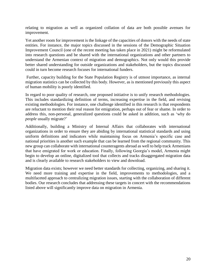relating to migration as well as organized collation of data are both possible avenues for improvement.

Yet another room for improvement is the linkage of the capacities of donors with the needs of state entities. For instance, the major topics discussed in the sessions of the Demographic Situation Improvement Council (one of the recent meeting has taken place in 2021) might be reformulated into research questions and be shared with the international organizations and other partners to understand the Armenian context of migration and demographics. Not only would this provide better shared understanding for outside organizations and stakeholders, but the topics discussed could in turn become research focuses for international funders.

Further, capacity building for the State Population Registry is of utmost importance, as internal migration statistics can be collected by this body. However, as is mentioned previously this aspect of human mobility is poorly identified.

In regard to poor quality of research, one proposed initiative is to unify research methodologies. This includes standardizing definition of terms, increasing expertise in the field, and revising existing methodologies. For instance, one challenge identified in this research is that respondents are reluctant to mention their real reason for emigration, perhaps out of fear or shame. In order to address this, non-personal, generalized questions could be asked in addition, such as 'why do *people* usually migrate?'

Additionally, building a Ministry of Internal Affairs that collaborates with international organizations in order to ensure they are abiding by international statistical standards and using uniform definitions and indicators while maintaining focus on Armenia's specific case and national priorities is another such example that can be learned from the regional community. This new group can collaborate with international counteragents abroad as well to help track Armenians that have emigrated for work or education. Finally, following Georgia's model, Armenia might begin to develop an online, digitalized tool that collects and tracks disaggregated migration data and is clearly available to research stakeholders to view and download.

Migration data exists; however we need better standards for collecting, organizing, and sharing it. We need more training and expertise in the field, improvements to methodologies, and a multifaceted approach to centralizing migration issues, starting with the collaboration of different bodies. Our research concludes that addressing these targets in concert with the recommendations listed above will significantly improve data on migration in Armenia.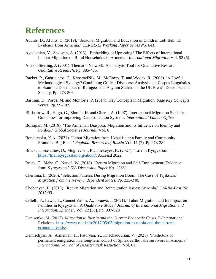### **References**

- Adunts, D., Afunts, G. (2019). 'Seasonal Migration and Education of Children Left Behind: Evidence from Armenia.' *CERGE-EI Working Paper Series No. 641.*
- Agadjanian, V., Sevoyan, A. (2013). 'Embedding or Uprooting? The Effects of International Labour Migration on Rural Households in Armenia.' *International Migration* Vol. 52 (5).
- Attride-Sterling, J. (2001). Thematic Network: An analytic Tool for Qualitative Research. *Qualitative Research*. Pp. 385-405.
- Backer, P., Gabrielatos, C., KhosraviNik, M., McEnery, T. and Wodak, R. (2008). 'A Useful Methodological Synergy? Combining Critical Discourse Analysis and Corpus Linguistics to Examine Discourses of Refugees and Asylum Seekers in the UK Press'. Discourse and Society. Pp. 273-306.
- Bartram, D., Poros, M. and Monforte, P. (2014). Key Concepts in Migration. *Sage Key Concepts Series.* Pp. 99-102.
- Bilsborrow, R., Hugo, G., Zlotnik, H. and Oberai, A. (1997). International Migration Statistics: Guidelines for Improving Data Collection Systems*. International Labour Office.*
- Bolsajian, M. (2018). 'The Armenian Diaspora: Migration and its Influence on Identity and Politics.' *Global Societies Journal.* Vol. 6
- Bondarenko, K.A. (2021). 'Labor Migration from Uzbekistan: a Family and Community Promoted Big Band.' *Regional Research of Russia* Vol. 11 (2). Pp 273-284.
- Brück, T, Esenaliev, D., Mogilevskii, R., Tilekeyev, K. (2021). "Life in Kyrgyzstan." [https://lifeinkyrgyzstan.org/about/.](https://lifeinkyrgyzstan.org/about/) Accessd 2022.
- Brück, T., Mahe, C., Naudé, W. (2018). 'Return Migration and Self-Employment: Evidence from Kyrgyzstan.' *IZA Discussion Paper No. 11332.*
- Chernina, E. (2020). 'Selection Patterns During Migration Boom: The Case of Tajikstan.' *Migration from the Newly Independent States.* Pp. 223-240.
- Chobanyan, H. (2013). 'Return Migration and Reintegration Issues: Armenia.' *CARIM-East RR 2013/03.*
- Critelli, F., Lewis, L., Cennet Yalim, A., Ibraeva, J. (2021). 'Labor Migration and Its Impact on Families in Kyrgyzstan: A Qualitative Study.' *Journal of International Migration and Integration, Springer*. Vol. 22 (30). Pp. 907-928
- Denisenko, M. (2017). *Migration to Russia and the Current Economic Crisis*. E-International Relations. [https://www.e-ir.info/2017/05/05/migration-to-russia-and-the-current](https://www.e-ir.info/2017/05/05/migration-to-russia-and-the-current-economic-crisis/)[economic-crisis/.](https://www.e-ir.info/2017/05/05/migration-to-russia-and-the-current-economic-crisis/)
- Demrichyan, A., Armenian, H., Paturyan, Y., Khachadourian, V. (2021). 'Predictors of permanent emigration in a long-term cohort of Spitak earthquake survivors in Armenia.' *International Journal of Disaster Risk Resuction.* Vol. 61.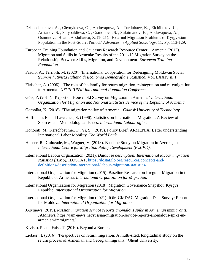- Dzhooshbekova, A. , Chynykeeva, G. , Abduvapova, A. , Turdubaev, K. , Elchibekov, U., Arstanov, S. , Satybaldieva, C. , Osmonova, S. , Sulaimanov, E. , Abduvapova, A. , Osmonova, B. and Abdullaeva, Z. (2021). 'External Migration Problems of Kyrgyzstan Population in the Post-Soviet Period.' *Advances in Applied Sociology*, 11. Pp. 113-129.
- European Training Foundation and Caucasus Research Resource Center Armenia (2012). Migration and Skills in Armenia: Results of the 2011/12 Migration Survey on the Relationship Between Skills, Migration, and Development. *European Training Foundation.*
- Fasulo, A., Terribili, M. (2020). 'International Cooperation for Redesigning Moldovan Social Surveys.' *Rivista Italiana di Economia Demografia e Statistica.* Vol. LXXIV n. 1.
- Fleischer, A. (2008). "The role of the family for return migration, reintegration and re-emigration in Armenia.' *XXVII IUSSP International Population Conference.*
- Góis, P. (2014). 'Report on Household Survey on Migration in Armenia.' *International Organization for Migration and National Statistics Service of the Republic of Armenia.*
- [Gomółka,](https://www.researchgate.net/profile/Krystyna-Gomolka-2) K. (2018). 'The migration policy of Armenia.' *Gdansk University of Technology.*
- Hoffmann, E. and Lawrence, S. (1996). Statistics on International Migration: A Review of Sources and Methodological Issues. *International Labour office.*
- Honorati, M., Kerschbaumer, F., Yi, S., (2019). Policy Brief: ARMENIA: Better understanding International Labor Mobility. *The World Bank*.
- Hosner, R., Guluzade, M., Wagner, V. (2018). Baseline Study on Migration in Azerbaijan. *International Centre for Migration Policy Development (ICMPD).*
- International Labour Organization (2021). *Database description: International labour migration statistics (ILMS).* ILOSTAT. [https://ilostat.ilo.org/resources/concepts-and](https://ilostat.ilo.org/resources/concepts-and-definitions/description-international-labour-migration-statistics/)[definitions/description-international-labour-migration-statistics/.](https://ilostat.ilo.org/resources/concepts-and-definitions/description-international-labour-migration-statistics/)
- International Organization for Migration (2015). Baseline Research on Irregular Migration in the Republic of Armenia. *International Organization for Migration.*
- International Organization for Migration (2018). Migration Governance Snapshot: Kyrgyz Republic. *International Organization for Migration.*
- International Organization for Migration (2021). IOM GMDAC Migration Data Survey: Report for Moldova. *International Organization for Migration.*
- JAMnews (2019). *Russian migration service reports anomalous spike in Armenian immigrants.*  JAMnews. https://jam-news.net/russian-migration-service-reports-anomalous-spike-inarmenian-immigrants/.
- Kivisto, P. and Faist, T. (2010). Beyond a Border.
- Lietaert, I. (2016). 'Perspectives on return migration: A multi-sited, longitudinal study on the return process of Armenian and Georgian migrants.' Ghent University.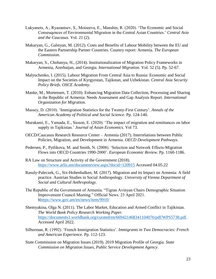- Lukyanets, A., Ryazantsev, S., Moiseeva, E., Manshin, R. (2020). 'The Economic and Social Conseuqences of Environmental Migraiton in the Central Asian Countries.' *Central Asia and the Caucasus.* Vol. 21 (2).
- Makaryan, G., Galstyan, M. (2012). Costs and Benefits of Labour Mobility between the EU and the Eastern Partnership Partner Countries. Country report: Armenia. *The European Commission.*
- Makaryan, S., Chobanya, H., (2014). Institutionalization of Migration Policy Frameworks in Armenia, Azerbaijan, and Georgia. *International Migration.* Vol. 52 (5)*.* Pp. 52-67.
- Malyuchenko, I. (2015). Labour Migration From Central Asia to Russia: Economic and Social Impact on the Societies of Kyrgyzstan, Tajikstan, and Uzbekistan. *Central Asia Security Policy Briefs. OSCE Academy.*
- Manke, M., Mortensen, T. (2010). Enhancing Migration Data Collection, Processing and Sharing in the Republic of Armenia: Needs Assessment and Gap Analysis Report. *International Organization for Migration.*
- Massey, D. (2010). 'Immigration Statistics for the Twenty-First Century'. *Annals of the American Academy of Political and Social Science.* Pp. 124-140.
- Murakami, E., Yamada, E., Sioson, E. (2020). 'The impact of migration and remittances on labor supply in Tajikistan.' *Journal of Asian Economics.* Vol 73.
- OECD/Caucasus Research Resource Center Armenia (2017). Interrelations between Public Policies, Migration, and Development in Armenia. *OECD Development Pathways.*
- Pedersen, P., Pytlikova, M. and Smith, N. (2008). 'Selection and Network Effects-Migration Flows into OECD Countries 1990-2000'. *European Economic Review.* Pp. 1160-1186.
- RA Law on Structure and Activity of the Government (2018). <https://www.arlis.am/documentview.aspx?docid=120915> Accessed 04.05.22
- Rasuly-Paleczek, G., Six-Hohenbalken, M. (2017). Migration and its Impact on Armenia: A field practice. Austrian Studies in Social Anthropology. *University of Vienna Department of Social and Cultural Anthropology.*
- The Republic of the Government of Armenia. "Tigran Avinyan Chairs Demographic Situation Improvement Council Meeting." Official News. 23 April 2021. [hhttps://www.gov.am/en/news/item/9910/](https://www.gov.am/en/news/item/9910/)
- Shemyakina, Olga N. (2011). The Labor Market, Education and Armed Conflict in Tajikistan. *The World Bank Policy Research Working Paper.* [https://documents1.worldbank.org/curated/en/669421468341104076/pdf/WPS5738.pdf.](https://documents1.worldbank.org/curated/en/669421468341104076/pdf/WPS5738.pdf) Accessed April 2022.
- Silberman, R. (1992). 'French Immigration Statistics'. *Immigrants in Two Democracies: French and American Experience*. Pp. 112-123.
- State Commission on Migration Issues (2019). 2019 Migration Profile of Georgia. *State Commission on Migration Issues, Public Service Development Agency*.